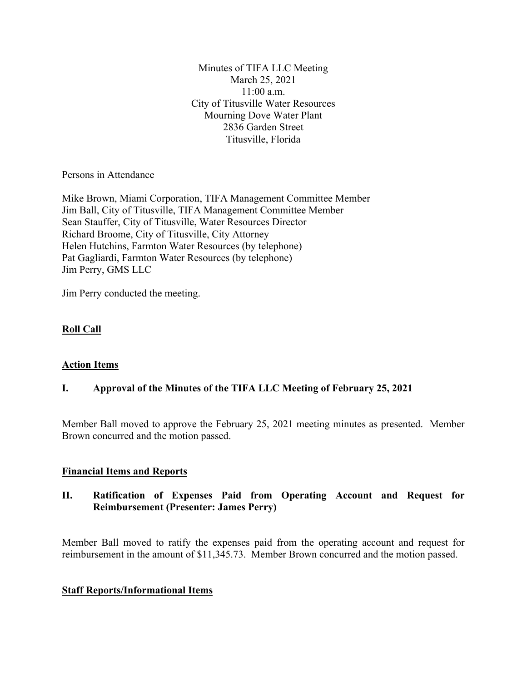Minutes of TIFA LLC Meeting March 25, 2021 11:00 a.m. City of Titusville Water Resources Mourning Dove Water Plant 2836 Garden Street Titusville, Florida

Persons in Attendance

Mike Brown, Miami Corporation, TIFA Management Committee Member Jim Ball, City of Titusville, TIFA Management Committee Member Sean Stauffer, City of Titusville, Water Resources Director Richard Broome, City of Titusville, City Attorney Helen Hutchins, Farmton Water Resources (by telephone) Pat Gagliardi, Farmton Water Resources (by telephone) Jim Perry, GMS LLC

Jim Perry conducted the meeting.

# **Roll Call**

## **Action Items**

## **I. Approval of the Minutes of the TIFA LLC Meeting of February 25, 2021**

Member Ball moved to approve the February 25, 2021 meeting minutes as presented. Member Brown concurred and the motion passed.

## **Financial Items and Reports**

## **II. Ratification of Expenses Paid from Operating Account and Request for Reimbursement (Presenter: James Perry)**

Member Ball moved to ratify the expenses paid from the operating account and request for reimbursement in the amount of \$11,345.73. Member Brown concurred and the motion passed.

### **Staff Reports/Informational Items**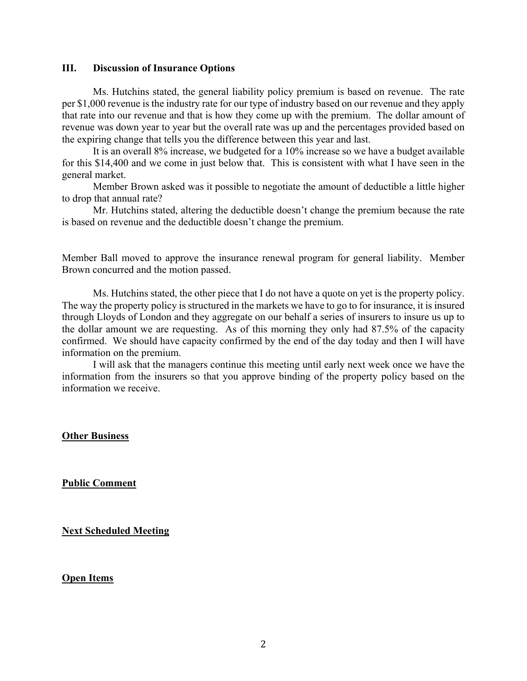#### **III. Discussion of Insurance Options**

Ms. Hutchins stated, the general liability policy premium is based on revenue. The rate per \$1,000 revenue is the industry rate for our type of industry based on our revenue and they apply that rate into our revenue and that is how they come up with the premium. The dollar amount of revenue was down year to year but the overall rate was up and the percentages provided based on the expiring change that tells you the difference between this year and last.

It is an overall 8% increase, we budgeted for a 10% increase so we have a budget available for this \$14,400 and we come in just below that. This is consistent with what I have seen in the general market.

Member Brown asked was it possible to negotiate the amount of deductible a little higher to drop that annual rate?

Mr. Hutchins stated, altering the deductible doesn't change the premium because the rate is based on revenue and the deductible doesn't change the premium.

Member Ball moved to approve the insurance renewal program for general liability. Member Brown concurred and the motion passed.

Ms. Hutchins stated, the other piece that I do not have a quote on yet is the property policy. The way the property policy is structured in the markets we have to go to for insurance, it is insured through Lloyds of London and they aggregate on our behalf a series of insurers to insure us up to the dollar amount we are requesting. As of this morning they only had 87.5% of the capacity confirmed. We should have capacity confirmed by the end of the day today and then I will have information on the premium.

I will ask that the managers continue this meeting until early next week once we have the information from the insurers so that you approve binding of the property policy based on the information we receive.

### **Other Business**

**Public Comment**

**Next Scheduled Meeting**

#### **Open Items**